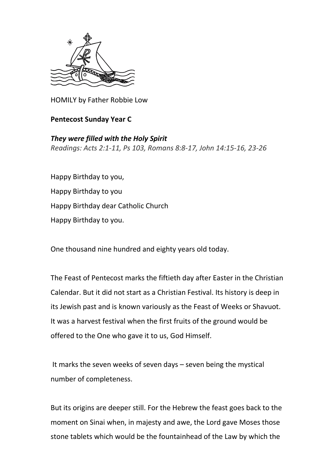

HOMILY by Father Robbie Low

## **Pentecost Sunday Year C**

*They were filled with the Holy Spirit Readings: Acts 2:1-11, Ps 103, Romans 8:8-17, John 14:15-16, 23-26*

Happy Birthday to you, Happy Birthday to you Happy Birthday dear Catholic Church Happy Birthday to you.

One thousand nine hundred and eighty years old today.

The Feast of Pentecost marks the fiftieth day after Easter in the Christian Calendar. But it did not start as a Christian Festival. Its history is deep in its Jewish past and is known variously as the Feast of Weeks or Shavuot. It was a harvest festival when the first fruits of the ground would be offered to the One who gave it to us, God Himself.

It marks the seven weeks of seven days – seven being the mystical number of completeness.

But its origins are deeper still. For the Hebrew the feast goes back to the moment on Sinai when, in majesty and awe, the Lord gave Moses those stone tablets which would be the fountainhead of the Law by which the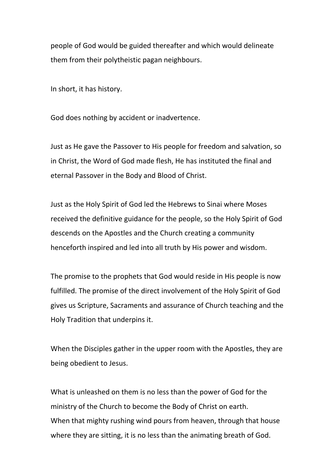people of God would be guided thereafter and which would delineate them from their polytheistic pagan neighbours.

In short, it has history.

God does nothing by accident or inadvertence.

Just as He gave the Passover to His people for freedom and salvation, so in Christ, the Word of God made flesh, He has instituted the final and eternal Passover in the Body and Blood of Christ.

Just as the Holy Spirit of God led the Hebrews to Sinai where Moses received the definitive guidance for the people, so the Holy Spirit of God descends on the Apostles and the Church creating a community henceforth inspired and led into all truth by His power and wisdom.

The promise to the prophets that God would reside in His people is now fulfilled. The promise of the direct involvement of the Holy Spirit of God gives us Scripture, Sacraments and assurance of Church teaching and the Holy Tradition that underpins it.

When the Disciples gather in the upper room with the Apostles, they are being obedient to Jesus.

What is unleashed on them is no less than the power of God for the ministry of the Church to become the Body of Christ on earth. When that mighty rushing wind pours from heaven, through that house where they are sitting, it is no less than the animating breath of God.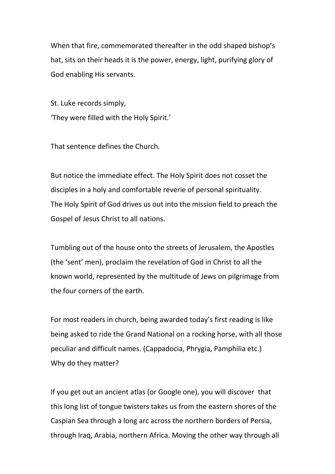When that fire, commemorated thereafter in the odd shaped bishop's hat, sits on their heads it is the power, energy, light, purifying glory of God enabling His servants.

St. Luke records simply, 'They were filled with the Holy Spirit.'

That sentence defines the Church.

But notice the immediate effect. The Holy Spirit does not cosset the disciples in a holy and comfortable reverie of personal spirituality. The Holy Spirit of God drives us out into the mission field to preach the Gospel of Jesus Christ to all nations.

Tumbling out of the house onto the streets of Jerusalem, the Apostles (the 'sent' men), proclaim the revelation of God in Christ to all the known world, represented by the multitude of Jews on pilgrimage from the four corners of the earth.

For most readers in church, being awarded today's first reading is like being asked to ride the Grand National on a rocking horse, with all those peculiar and difficult names. (Cappadocia, Phrygia, Pamphilia etc.) Why do they matter?

If you get out an ancient atlas (or Google one), you will discover that this long list of tongue twisters takes us from the eastern shores of the Caspian Sea through a long arc across the northern borders of Persia, through Iraq, Arabia, northern Africa. Moving the other way through all